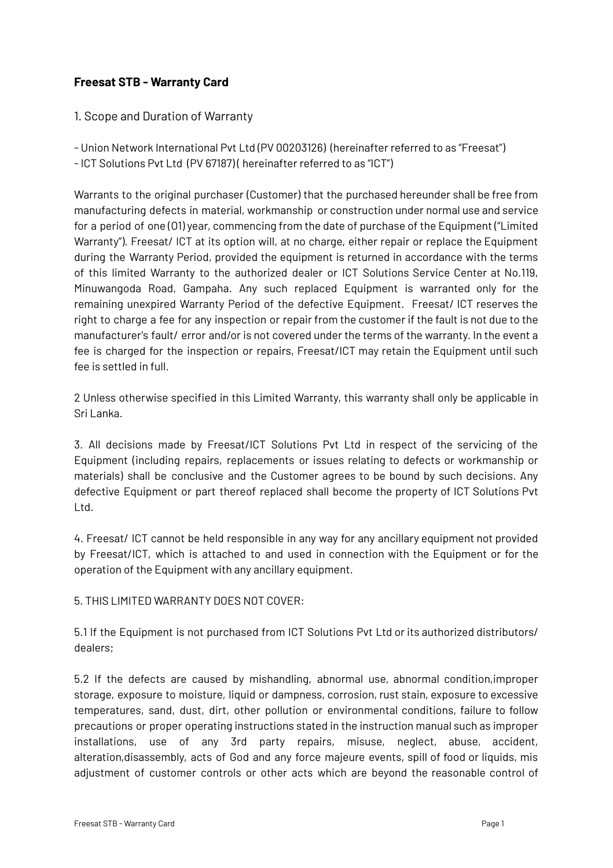## **Freesat STB - Warranty Card**

## 1. Scope and Duration of Warranty

- Union Network International Pvt Ltd (PV 00203126) (hereinafter referred to as "Freesat")

- ICT Solutions Pvt Ltd (PV 67187) ( hereinafter referred to as "ICT")

Warrants to the original purchaser (Customer) that the purchased hereunder shall be free from manufacturing defects in material, workmanship or construction under normal use and service for a period of one (O1) year, commencing from the date of purchase of the Equipment ("Limited Warranty"). Freesat/ ICT at its option will, at no charge, either repair or replace the Equipment during the Warranty Period, provided the equipment is returned in accordance with the terms of this limited Warranty to the authorized dealer or ICT Solutions Service Center at No.119, Minuwangoda Road, Gampaha. Any such replaced Equipment is warranted only for the remaining unexpired Warranty Period of the defective Equipment. Freesat/ ICT reserves the right to charge a fee for any inspection or repair from the customer if the fault is not due to the manufacturer's fault/ error and/or is not covered under the terms of the warranty. In the event a fee is charged for the inspection or repairs, Freesat/ICT may retain the Equipment until such fee is settled in full.

2 Unless otherwise specified in this Limited Warranty, this warranty shall only be applicable in Sri Lanka.

3. All decisions made by Freesat/ICT Solutions Pvt Ltd in respect of the servicing of the Equipment (including repairs, replacements or issues relating to defects or workmanship or materials) shall be conclusive and the Customer agrees to be bound by such decisions. Any defective Equipment or part thereof replaced shall become the property of ICT Solutions Pvt Ltd.

4. Freesat/ ICT cannot be held responsible in any way for any ancillary equipment not provided by Freesat/ICT, which is attached to and used in connection with the Equipment or for the operation of the Equipment with any ancillary equipment.

## 5. THIS LIMITED WARRANTY DOES NOT COVER:

5.1 If the Equipment is not purchased from ICT Solutions Pvt Ltd or its authorized distributors/ dealers;

5.2 If the defects are caused by mishandling, abnormal use, abnormal condition,improper storage, exposure to moisture, liquid or dampness, corrosion, rust stain, exposure to excessive temperatures, sand, dust, dirt, other pollution or environmental conditions, failure to follow precautions or proper operating instructions stated in the instruction manual such as improper installations, use of any 3rd party repairs, misuse, neglect, abuse, accident, alteration,disassembly, acts of God and any force majeure events, spill of food or liquids, mis adjustment of customer controls or other acts which are beyond the reasonable control of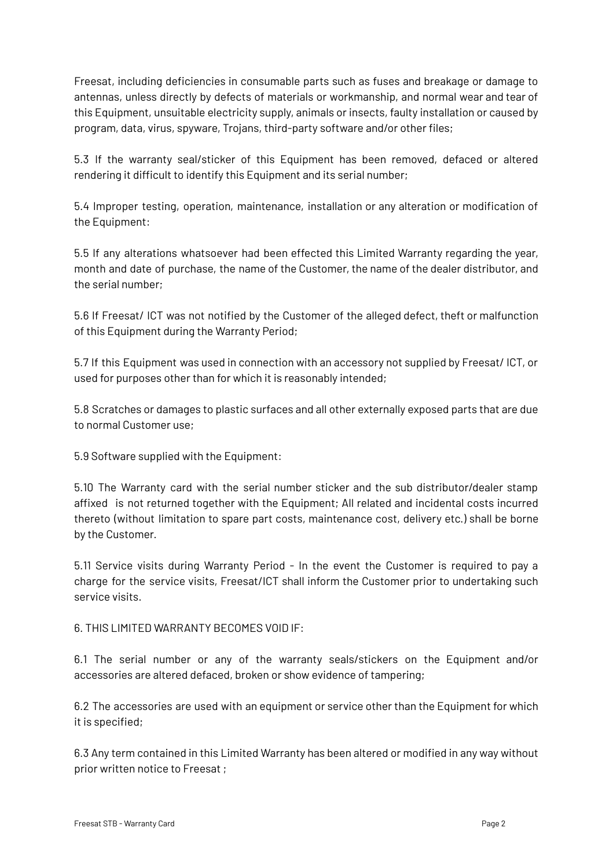Freesat, including deficiencies in consumable parts such as fuses and breakage or damage to antennas, unless directly by defects of materials or workmanship, and normal wear and tear of this Equipment, unsuitable electricity supply, animals or insects, faulty installation or caused by program, data, virus, spyware, Trojans, third-party software and/or other files;

5.3 If the warranty seal/sticker of this Equipment has been removed, defaced or altered rendering it difficult to identify this Equipment and its serial number;

5.4 Improper testing, operation, maintenance, installation or any alteration or modification of the Equipment:

5.5 If any alterations whatsoever had been effected this Limited Warranty regarding the year, month and date of purchase, the name of the Customer, the name of the dealer distributor, and the serial number;

5.6 If Freesat/ ICT was not notified by the Customer of the alleged defect, theft or malfunction of this Equipment during the Warranty Period;

5.7 If this Equipment was used in connection with an accessory not supplied by Freesat/ ICT, or used for purposes other than for which it is reasonably intended;

5.8 Scratches or damages to plastic surfaces and all other externally exposed parts that are due to normal Customer use;

5.9 Software supplied with the Equipment:

5.10 The Warranty card with the serial number sticker and the sub distributor/dealer stamp affixed is not returned together with the Equipment; All related and incidental costs incurred thereto (without limitation to spare part costs, maintenance cost, delivery etc.) shall be borne by the Customer.

5.11 Service visits during Warranty Period - In the event the Customer is required to pay a charge for the service visits, Freesat/ICT shall inform the Customer prior to undertaking such service visits.

6. THIS LIMITED WARRANTY BECOMES VOID IF:

6.1 The serial number or any of the warranty seals/stickers on the Equipment and/or accessories are altered defaced, broken or show evidence of tampering;

6.2 The accessories are used with an equipment or service other than the Equipment for which it is specified;

6.3 Any term contained in this Limited Warranty has been altered or modified in any way without prior written notice to Freesat ;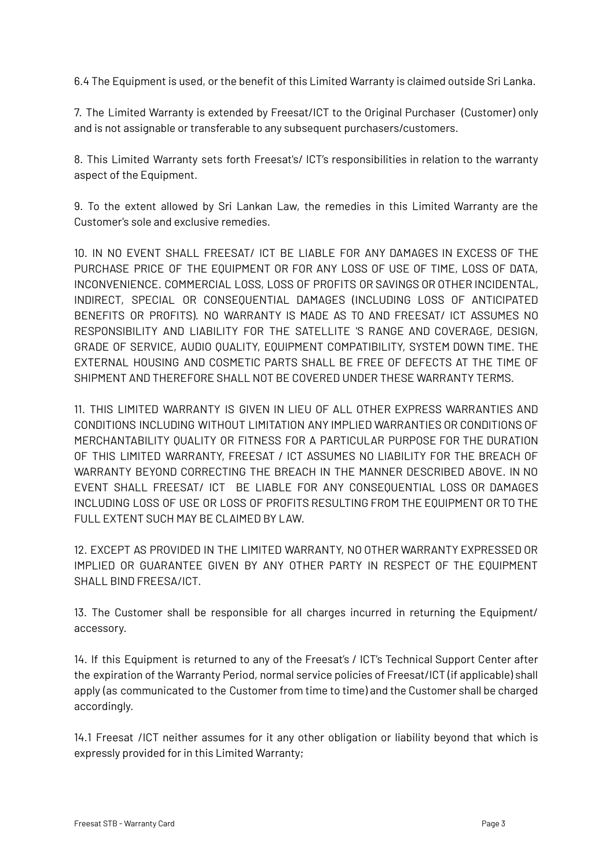6.4 The Equipment is used, or the benefit of this Limited Warranty is claimed outside Sri Lanka.

7. The Limited Warranty is extended by Freesat/ICT to the Original Purchaser (Customer) only and is not assignable or transferable to any subsequent purchasers/customers.

8. This Limited Warranty sets forth Freesat's/ ICT's responsibilities in relation to the warranty aspect of the Equipment.

9. To the extent allowed by Sri Lankan Law, the remedies in this Limited Warranty are the Customer's sole and exclusive remedies.

10. IN NO EVENT SHALL FREESAT/ ICT BE LIABLE FOR ANY DAMAGES IN EXCESS OF THE PURCHASE PRICE OF THE EQUIPMENT OR FOR ANY LOSS OF USE OF TIME, LOSS OF DATA, INCONVENIENCE. COMMERCIAL LOSS, LOSS OF PROFITS OR SAVINGS OR OTHER INCIDENTAL, INDIRECT, SPECIAL OR CONSEQUENTIAL DAMAGES (INCLUDING LOSS OF ANTICIPATED BENEFITS OR PROFITS). NO WARRANTY IS MADE AS TO AND FREESAT/ ICT ASSUMES NO RESPONSIBILITY AND LIABILITY FOR THE SATELLITE 'S RANGE AND COVERAGE, DESIGN, GRADE OF SERVICE, AUDIO QUALITY, EQUIPMENT COMPATIBILITY, SYSTEM DOWN TIME. THE EXTERNAL HOUSING AND COSMETIC PARTS SHALL BE FREE OF DEFECTS AT THE TIME OF SHIPMENT AND THEREFORE SHALL NOT BE COVERED UNDER THESE WARRANTY TERMS.

11. THIS LIMITED WARRANTY IS GIVEN IN LIEU OF ALL OTHER EXPRESS WARRANTIES AND CONDITIONS INCLUDING WITHOUT LIMITATION ANY IMPLIED WARRANTIES OR CONDITIONS OF MERCHANTABILITY QUALITY OR FITNESS FOR A PARTICULAR PURPOSE FOR THE DURATION OF THIS LIMITED WARRANTY, FREESAT / ICT ASSUMES NO LIABILITY FOR THE BREACH OF WARRANTY BEYOND CORRECTING THE BREACH IN THE MANNER DESCRIBED ABOVE. IN NO EVENT SHALL FREESAT/ ICT BE LIABLE FOR ANY CONSEQUENTIAL LOSS OR DAMAGES INCLUDING LOSS OF USE OR LOSS OF PROFITS RESULTING FROM THE EQUIPMENT OR TO THE FULL EXTENT SUCH MAY BE CLAIMED BY LAW.

12. EXCEPT AS PROVIDED IN THE LIMITED WARRANTY, NO OTHER WARRANTY EXPRESSED OR IMPLIED OR GUARANTEE GIVEN BY ANY OTHER PARTY IN RESPECT OF THE EQUIPMENT SHALL BIND FREESA/ICT.

13. The Customer shall be responsible for all charges incurred in returning the Equipment/ accessory.

14. If this Equipment is returned to any of the Freesat's / ICT's Technical Support Center after the expiration of the Warranty Period, normal service policies of Freesat/ICT (if applicable) shall apply (as communicated to the Customer from time to time) and the Customer shall be charged accordingly.

14.1 Freesat /ICT neither assumes for it any other obligation or liability beyond that which is expressly provided for in this Limited Warranty;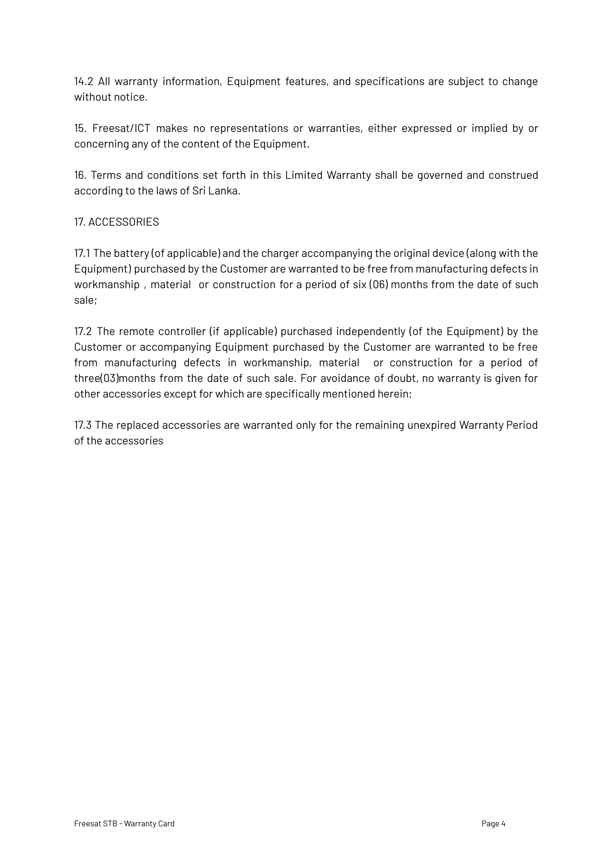14.2 All warranty information, Equipment features, and specifications are subject to change without notice.

15. Freesat/ICT makes no representations or warranties, either expressed or implied by or concerning any of the content of the Equipment.

16. Terms and conditions set forth in this Limited Warranty shall be governed and construed according to the laws of Sri Lanka.

## 17. ACCESSORIES

17.1 The battery (of applicable) and the charger accompanying the original device (along with the Equipment) purchased by the Customer are warranted to be free from manufacturing defects in workmanship , material or construction for a period of six (06) months from the date of such sale;

17.2 The remote controller (if applicable) purchased independently (of the Equipment) by the Customer or accompanying Equipment purchased by the Customer are warranted to be free from manufacturing defects in workmanship, material or construction for a period of three(03)months from the date of such sale. For avoidance of doubt, no warranty is given for other accessories except for which are specifically mentioned herein;

17.3 The replaced accessories are warranted only for the remaining unexpired Warranty Period of the accessories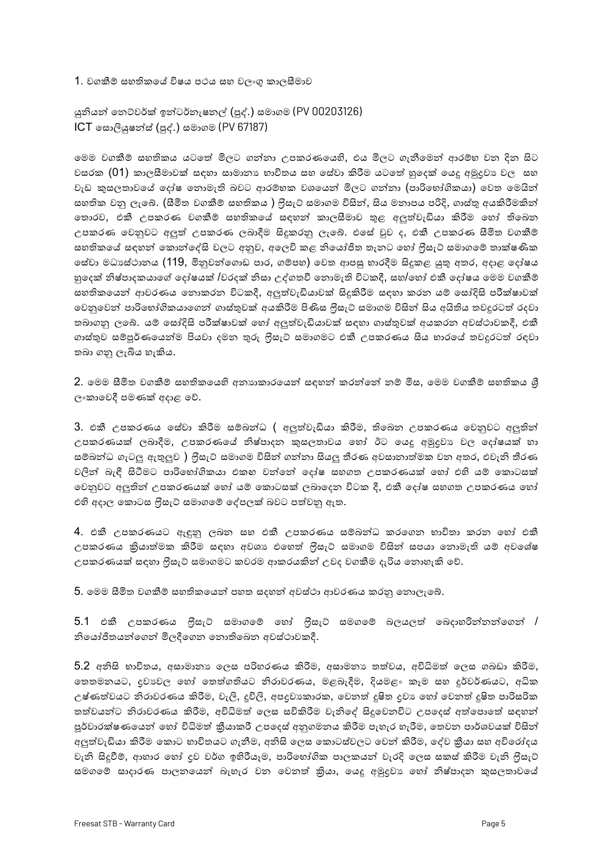1. වගකීම් සහතිකයේ විෂය පථය සහ වලංගු කාලසීමාව

යුනියන් තෙට්වර්ක් ඉන්ටර්නැෂනල් (පූද්.) සමාගම (PV 00203126) ICT සොලියුෂන්ස් (පූද්.) සමාගම (PV 67187)

ෙමම වගකීම් සහතිකය යටතේ මිලට ගන්නා උපකරණයෙහි, එය මිලට ගැනීමෙන් ආරම්භ වන දින සිට වසරක (01) කාලසීමාවක් සඳහා සාමානා භාවිතය සහ සේවා කිරීම යටතේ හුදෙක් යෙදූ අමුදුවා වල සහ වැඩ කුසලතාවගේ දෝෂ තොමැති බවට ආරම්භක වශයෙන් මිලට ගන්නා (පාරිභෝගිකයා) වෙත මෙයින් සහතික වනු ලැබේ. (සීමිත වගකීම් සහතිකය ) ලිසැට් සමාගම විසින්, සිය මනාපය පරිදි, ගාස්තු අයකිරීමකින් තොරව, එකී උපකරණ වගකීම් සහතිකයේ සඳහන් කාලසීමාව තුළ අලුත්වැඩියා කිරීම හෝ තිබෙන උපකරණ වෙනුවට අලුත් උපකරණ ලබාදීම සිදුකරනු ලැබේ. එසේ වුව ද, එකී උපකරණ සීමිත වගකීම් සහතිකයේ සඳහන් කොන්දේසි වලට අනුව, අලෙවි කළ නියෝජිත තැනට හෝ ලීසැට් සමාගමේ තාක්ෂණික ෙස්වා මධාසේථානය (119, මිනුවන්ගොඩ පාර, ගම්පහ) වෙත ආපසු භාරදීම සිදුකළ යුතු අතර, අදාළ දෝෂය හුදෙක් නිෂ්පාදකයාගේ දෝෂයක් /වරදක් නිසා උද්ගතවී නොමැති විටකදී, සහ/හෝ එකී දෝෂය මෙම වගකීම් සහතිකයෙන් ආවරණය තොකරන විටකදී, අලුත්වැඩියාවක් සිදුකිරීම සඳහා කරන යම් සෝදිසි පරීක්ෂාවක් වෙනුවෙන් පාරිභෝගිකයාගෙන් ගාස්තුවක් අයකිරීම පිණිස ලිසැට් සමාගම විසින් සිය අයිතිය තවදුරටත් රදවා තබාගනු ලඉබි. යම් සෝදිසි පරීක්ෂාවක් හෝ අලුත්වැඩියාවක් සඳහා ගාස්තුවක් අයකරන අවස්ථාවකදී, එකී ගාස්තුව සම්පූර්ණයෙන්ම පියවා දමන තුරු ලිසැට් සමාගමට එකී උපකරණය සිය භාරයේ තවදුරටත් රඳවා තබා ගනු ලැබිය හැකිය.

2. මෙම සීමිත වගකීම සහතිකයෙහි අනායාකාරයෙන් සඳහන් කරන්නේ නම් මිස, මෙම වගකීම් සහතිකය ශූී ලංකාවෙදී පමණක් අදාළ වේ.

3. එකී උපකරණය සේවා කිරීම සම්බන්ධ ( අලුත්වැඩියා කිරීම, තිබෙන උපකරණය වෙනුවට අලුතින් උපකරණයක් ලබාදීම, උපකරණයේ නිෂ්පාදන කුසලතාවය හෝ ඊට යෙදු අමුදුවා වල දෝෂයක් හා සම්බන්ධ ගැටලු ඇතුලුව ) ෆිුසැට් සමාගම විසින් ගන්නා සියලු තීරණ අවසානාත්මක වන අතර, එවැනි තීරණ වලින් බැඳී සිටීමට පාරිභෝගිකයා එකහ වන්නේ දෝෂ සහගත උපකරණයක් හෝ එහි යම් කොටසක් ෙවනුවට අලුතින් උපකරණයක් හෝ යම් කොටසක් ලබාදෙන විටක දී, එකී දෝෂ සහගත උපකරණය හෝ එහි අදාල කොටස ෆිුසැට් සමාගමේ දේපලක් බවට පත්වනු ඇත.

4. එකී උපකරණයට ඇඳුනු ලබන සහ එකී උපකරණය සම්බන්ධ කරගෙන භාවිතා කරන හෝ එකී උපකරණය කියාත්මක කිරීම සඳහා අවශා එහෙත් ලීසැට් සමාගම විසින් සපයා තොමැති යම් අවශේෂ උපකරණයක් සඳහා ලීසැට් සමාගමට කවරම ආකරයකින් උවද වගකීම දැරිය නොහැකි වේ.

5. මෙම සීමිත වගකීම් සහතිකයෙන් පහත සදහන් අවස්ථා ආවරණය කරනු තොලැබේ.

 $5.1$  එකී උපකරණය ලීසැට් සමාගමේ හෝ ලීසැට් සමගමේ බලයලත් බෙදාහරින්නන්ගෙන් / නියෝජිතයන්ගෙන් මිලදීගෙන තොතිබෙන අවස්ථාවකදී.

5.2 අනිසි භාවිතය, අසාමානා ලෙස පරිහරණය කිරීම, අසාමනා තත්වය, අවිධිමත් ලෙස ගබඩා කිරීම, ගතමනයට, දුවාවල හෝ තෙත්ගතියට නිරාවරණය, මළබැදීම, දියමළං කෑම සහ දූර්වර්ණයට, අධික උෂ්ණත්වයට නිරාවරණය කිරීම, වැලි, දුවිලි, අපදුවාකාරක, වෙනත් දූෂිත දුවා හෝ වෙනත් දූෂිත පාරිසරික තත්වයන්ට නිරාවරණය කිරීම, අවිධිමත් ලෙස සවිකිරීම වැනිදේ සිදුවෙනවිට උපදෙස් අත්පොතේ සඳහන් පූර්වාරක්ෂණයෙන් හෝ විධිමත් කීයාකරී උපදෙස් අනුගමනය කිරීම පැහැර හැරීම, තෙවන පාර්ශවයක් විසින් අලුත්වැඩියා කිරීම කොට භාවිතයට ගැනීම, අනිසි ලෙස කොටස්වලට වෙන් කිරීම, දේව කීයා සහ අවිරෝදය වැනි සිදුවීම්, ආහාර හෝ දුව වර්ග ඉහිරීයෑම, පාරිභෝගික පාලකයන් වැරදි ලෙස සකස් කිරීම වැනි ලීසැට් සමගමේ සාදාරණ පාලනයෙන් බැහැර වන වෙනත් කියා, යෙදු අමුදවා හෝ නිෂ්පාදන කුසලතාවගේ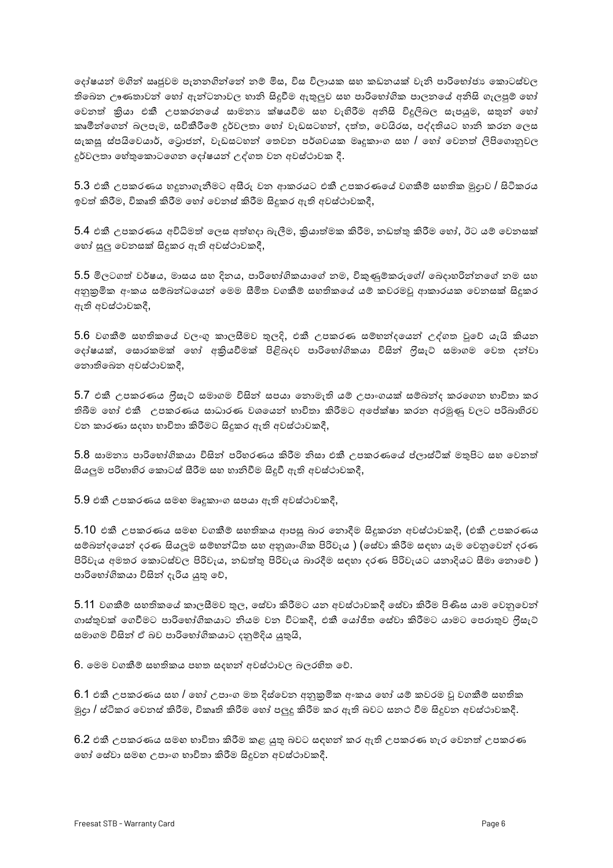ෙදා්ෂයන් මගින් ඍජුවම පැනනගින්නේ නම් මිස, විස විලායක සහ කඩනයක් වැනි පාරිභෝජාා කොටස්වල තිබෙන ඌණතාවන් හෝ ඇන්ටනාවල හානි සිදුවීම ඇතුලුව සහ පාරිභෝගික පාලනයේ අනිසි ගැලපුම් හෝ වෙනත් කියා එකී උපකරනයේ සාමනාා ක්ෂයවීම සහ වැහිරීම අනිසි විදුලිබල සැපයුම, සතුන් හෝ කෘමීන්ගෙන් බලපැම, සවිකීරීමේ දුර්වලතා හෝ වැඩසටහන්, දත්ත, වෙයිරස, පද්දතියට හානි කරන ලෙස සැකසු ස්පයිවෙයාර්, ටොජන්, වැඩසටහන් තෙවන පර්ශවයක මෘදුකාංග සහ / හෝ වෙනත් ලිපිගොනුවල දුර්වලතා හේතුකොටගෙන දෝෂයන් උද්ගත වන අවස්ථාවක දී.

 $5.3$  එකී උපකරණය හදුනාගැනීමට අසීරු වන ආකරයට එකී උපකරණයේ වගකීම් සහතික මුදාව / සිටිකරය ඉවත් කිරීම, විකෘති කිරීම හෝ වෙනස් කිරීම සිදුකර ඇති අවස්ථාවකදී,

5.4 එකී උපකරණය අවිධිමත් ලෙස අත්හදා බැලීම, කිුයාත්මක කිරීම, නඩත්තු කිරීම හෝ, ඊට යම් වෙනසක් හෝ සුලු වෙනසක් සිදුකර ඇති අවස්ථාවකදී,

 $5.5$  මිලටගත් වර්ෂය, මාසය සහ දිනය, පාරිභෝගිකයාගේ නම, විකුණුම්කරුගේ/ බෙදාහරින්නගේ නම සහ අනුනුමික අංකය සම්බන්ධයෙන් මෙම සීමිත වගකීම් සහතිකයේ යම් කවරමවූ ආකාරයක වෙනසක් සිදුකර ඇති අවස්ථාවකදී,

5.6 වගකීම් සහතිකයේ වලංගු කාලසීමව තුලදි, එකී උපකරණ සම්භන්දයෙන් උද්ගත වූවේ යැයි කියන ෙදා්ෂයක්, සොරකමක් හෝ අකියවීමක් පිළිබදව පාරිභෝගිකයා විසින් ලීසැට් සමාගම වෙත දන්වා තොතිබෙන අවස්ථාවකදී,

5.7 එකී උපකරණය ලිසැට් සමාගම විසින් සපයා නොමැති යම් උපාංගයක් සම්බන්ද කරගෙන භාවිතා කර තිබීම හෝ එකී උපකරණය සාධාරණ වශයෙන් භාවිතා කිරීමට අපේක්ෂා කරන අරමුණු වලට පරිබාහිරව වන කාරණා සදහා භාවිතා කිරීමට සිදුකර ඇති අවස්ථාවකදී,

5.8 සාමනාා පාරිභෝගිකයා විසින් පරිහරණය කිරීම නිසා එකී උපකරණයේ ප්ලාස්ටික් මතුපිට සහ වෙනත් සියලුම පරිහාහිර කොටස් සීරීම සහ හානිවීම සිදූවී ඇති අවස්ථාවකදී,

 $5.9$  එකී උපකරණය සමඟ මෘදුකාංග සපයා ඇති අවස්ථාවකදී,

 $5.10$  එකී උපකරණය සමග වගකීම් සහතිකය ආපසු බාර තොදීම සිදුකරන අවස්ථාවකදී, (එකී උපකරණය සම්බන්දයෙන් දරණ සියලුම සම්භන්ධිත සහ අනුශාංගික පිරිවැය ) (සේවා කිරීම සඳහා යෑම වෙනුවෙන් දරණ පිරිවැය අමතර කොටස්වල පිරිවැය, නඩත්තු පිරිවැය බාරදීම සඳහා දරණ පිරිවැයට යනාදියට සීමා තොවේ ) පාරිභෝගිකයා විසින් දැරිය යුතු වේ,

5.11 වගකීම් සහතිකයේ කාලසීමව තුල, සේවා කිරීමට යන අවස්ථාවකදී සේවා කිරීම පිණිස යාම වෙනුවෙන් ගාස්තුවක් ගෙවීමට පාරිභෝගිකයාට නියම වන විටකදී, එකී යෝජිත සේවා කිරීමට යාමට පෙරාතුව ලීසැට් සමාගම විසින් ඒ බව පාරිභෝගිකයාට දනුම්දිය යුතුයි,

 $6$ . මෙම වගකීම් සහතිකය පහත සදහන් අවස්ථාවල බලරහිත වේ.

 $6.1$  එකී උපකරණය සහ / හෝ උපාංග මත දිස්වෙන අනුකුමික අංකය හෝ යම් කවරම වූ වගකීම් සහතික මුදා / ස්ටිකර වෙනස් කිරීම, විකෘති කිරීම හෝ පලුදු කිරීම කර ඇති බවට සනථ වීම සිදුවන අවස්ථාවකදී.

 $6.2$  එකී උපකරණය සමග භාවිතා කිරීම කළ යුතු බවට සඳහන් කර ඇති උපකරණ හැර වෙනත් උපකරණ ෙහ් සේවා සමඟ උපාංග භාවිතා කිරීම සිදූවන අවස්ථාවකදී.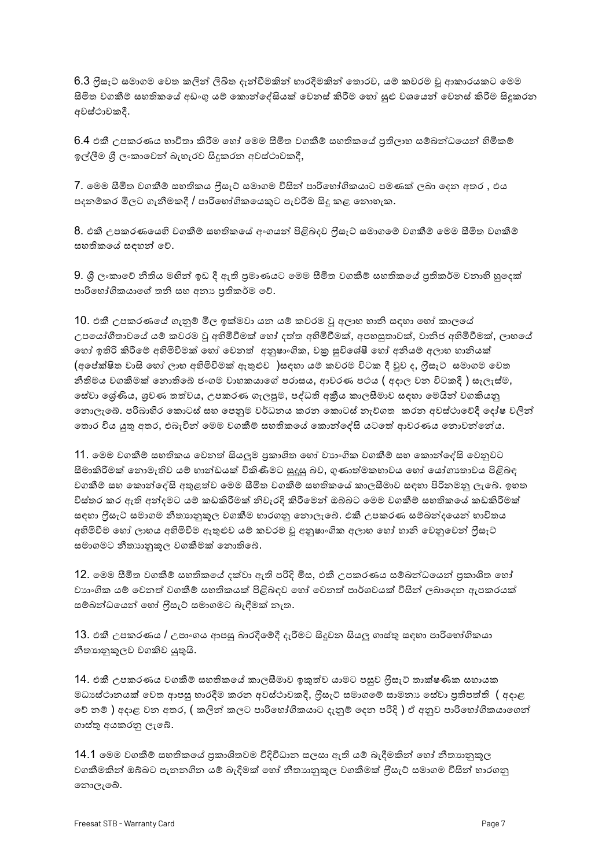6.3 ලීසැට් සමාගම වෙත කලින් ලිඛිත දැන්වීමකින් හාරදීමකින් තොරව, යම් කවරම වූ ආකාරයකට මෙම සීමිත වගකීම් සහතිකයේ අඩංගු යම් කොන්දේසියක් වෙනස් කිරීම හෝ සුළු වශයෙන් වෙනස් කිරීම සිදුකරන අවස්ථාවකදී.

 $6.4$  එකී උපකරණය භාවිතා කිරීම හෝ මෙම සීමිත වගකීම් සහතිකයේ පුතිලාභ සම්බන්ධයෙන් හිමිකම් ඉල්ලීම ශී ලංකාවෙන් බැහැරව සිදුකරන අවස්ථාවකදී,

7. මෙම සීමිත වගකීම් සහතිකය ෆීසැට් සමාගම විසින් පාරිභෝගිකයාට පමණක් ලබා දෙන අතර , එය පදනම්කර මිලට ගැනීමකදී / පාරිභෝගිකයෙකුට පැවරීම සිදු කළ නොහැක.

8. එකී උපකරණයෙහි වගකීම් සහතිකයේ අංගයන් පිළිබදව ෆිුිසැට් සමාගමේ වගකීම් මෙම සීමිත වගකීම් සහතිකයේ සඳහන් වේ.

9. ශූී ලංකාවේ නීතිය මහින් ඉඩ දී ඇති පුමාණයට මෙම සීමිත වගකීම් සහතිකයේ පුතිකර්ම වනාහි හුදෙක් පාරිභෝගිකයාගේ තනි සහ අනා පුතිකර්ම වේ.

10. එකී උපකරණයේ ගැනුම් මිල ඉක්මවා යන යම් කවරම වූ අලාභ හානි සඳහා හෝ කාලයේ උපයෝගීතාවයේ යම් කවරම වූ අහිමිවීමක් හෝ දත්ත අහිමිවීමක්, අපහසුතාවක්, වානිජ අහිමිවීමක්, ලාභයේ ගෝ ඉතිරි කිරීමේ අහිමිවීමක් හෝ වෙනත් අනුෂාංගික, වකු සුවිශේෂී හෝ අනියම් අලාභ හානියක් (අපේක්ෂිත වාසි හෝ ලාභ අහිමිවීමක් ඇතුළුව )සඳහා යම් කවරම විටක දී වූව ද, ෆිුසැට් සමාගම වෙත නීතිමය වගකීමක් නොතිබේ ජංගම වාහකයාගේ පරාසය, ආවරණ පථය ( අදාල වන විටකදී ) සැලැස්ම, ෙස්වා ශේණිය, ශුවණ තත්වය, උපකරණ ගැලපුම, පද්ධති අකීය කාලසීමාව සඳහා මෙයින් වගකියනු ගොලැබේ. පරිබාහිර කොටස් සහ පෙනුම වර්ධනය කරන කොටස් නැව්ගත කරන අවස්ථාවේදී දෝෂ වලින් තොර විය යුතු අතර, එබැවින් මෙම වගකීම් සහතිකයේ කොන්දේසි යටතේ ආවරණය නොවන්නේය.

11. මෙම වගකීම් සහතිකය වෙනත් සියලුම පුකාශිත හෝ වාහංගික වගකීම් සහ කොන්දේසි වෙනුවට සීමාකිරීමක් තොමැතිව යම් හාන්ඩයක් විකිණීමට සුදුසු බව, ගුණාත්මකභාවය හෝ යෝගාතාවය පිළිබඳ වගකීම් සහ කොන්දේසි අතුළත්ව මෙම සීමිත වගකීම් සහතිකයේ කාලසීමාව සඳහා පිරිනමනු ලැබේ. ඉහත විස්තර කර ඇති අන්දමට යම් කඩකිරීමක් නිවැරදි කිරීමෙන් ඔබ්බට මෙම වගකීම් සහතිකයේ කඩකිරීමක් සඳහා ෆීසැට් සමාගම නීතාානුකූල වගකීම භාරගනු නොලැබේ. එකී උපකරණ සම්බන්දයෙන් භාවිතය අහිමිවීම හෝ ලාභය අහිමිවීම ඇතුළුව යම් කවරම වූ අනුෂාංගික අලාභ හෝ හානි වෙනුවෙන් ලිසැට් සමාගමට නීතාහනුකූල වගකීමක් නොතිබේ.

12. මෙම සීමිත වගකීම් සහතිකයේ දක්වා ඇති පරිදි මිස, එකී උපකරණය සම්බන්ධයෙන් පුකාශිත හෝ වාහංගික යම් වෙනත් වගකීම් සහතිකයක් පිළිබඳව හෝ වෙනත් පාර්ශවයක් විසින් ලබාදෙන ඇපකරයක් සම්බන්ධයෙන් හෝ ෆිුසැට් සමාගමට බැඳීමක් නැත.

 $13$ . එකී උපකරණය / උපාංගය ආපසු බාරදීමේදී දැරීමට සිදුවන සියලු ගාස්තු සඳහා පාරිභෝගිකයා නිතාහනුකූලව වගකිව යුතුයි.

14. එකී උපකරණය වගකීම් සහතිකයේ කාලසීමාව ඉකුත්ව යාමට පසුව ලිසැට් තාක්ෂණික සහායක මධාස්ථානයක් වෙත ආපසු භාරදීම කරන අවස්ථාවකදී, ෆිුසැට් සමාගමේ සාමනා සේවා පුතිපත්ති ( අදාළ වේ නම් ) අදාළ වන අතර, ( කලින් කලට පාරිභෝගිකයාට දැනුම් දෙන පරිදි ) ඒ අනුව පාරිභෝගිකයාගෙන් ගාස්තු අයකරනු ලැබේ.

14.1 මෙම වගකීම් සහතිකයේ පුකාශිතවම විදිවිධාන සලසා ඇති යම් බැදීමකින් හෝ නීතාානුකූල වගකීමකින් ඔබ්බට පැනනගින යම් බැදීමක් හෝ නීතාානුකූල වගකීමක් ලීසැට් සමාගම විසින් භාරගනු නොලැබේ.